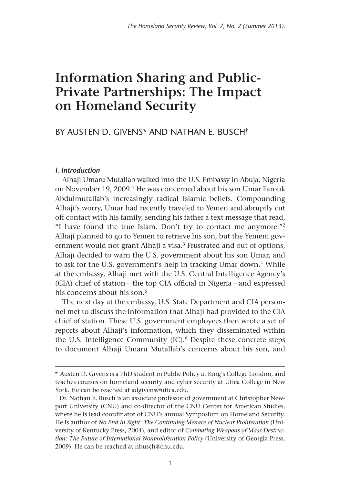# **Information Sharing and Public-Private Partnerships: The Impact on Homeland Security**

# BY AUSTEN D. GIVENS\* AND NATHAN E. BUSCH†

### *I. Introduction*

Alhaji Umaru Mutallab walked into the U.S. Embassy in Abuja, Nigeria on November 19, 2009.<sup>1</sup> He was concerned about his son Umar Farouk Abdulmutallab's increasingly radical Islamic beliefs. Compounding Alhaji's worry, Umar had recently traveled to Yemen and abruptly cut off contact with his family, sending his father a text message that read, "I have found the true Islam. Don't try to contact me anymore."<sup>2</sup> Alhaji planned to go to Yemen to retrieve his son, but the Yemeni government would not grant Alhaji a visa.<sup>3</sup> Frustrated and out of options, Alhaji decided to warn the U.S. government about his son Umar, and to ask for the U.S. government's help in tracking Umar down.<sup>4</sup> While at the embassy, Alhaji met with the U.S. Central Intelligence Agency's (CIA) chief of station—the top CIA official in Nigeria—and expressed his concerns about his son.<sup>5</sup>

The next day at the embassy, U.S. State Department and CIA personnel met to discuss the information that Alhaji had provided to the CIA chief of station. These U.S. government employees then wrote a set of reports about Alhaji's information, which they disseminated within the U.S. Intelligence Community (IC).<sup>6</sup> Despite these concrete steps to document Alhaji Umaru Mutallab's concerns about his son, and

<sup>\*</sup> Austen D. Givens is a PhD student in Public Policy at King's College London, and teaches courses on homeland security and cyber security at Utica College in New York. He can be reached at adgivens@utica.edu.

 $^\dagger$  Dr. Nathan E. Busch is an associate professor of government at Christopher Newport University (CNU) and co-director of the CNU Center for American Studies, where he is lead coordinator of CNU's annual Symposium on Homeland Security. He is author of *No End In Sight: The Continuing Menace of Nuclear Proliferation* (University of Kentucky Press, 2004), and editor of *Combating Weapons of Mass Destruction: The Future of International Nonproliferation Policy* (University of Georgia Press, 2009). He can be reached at nbusch@cnu.edu.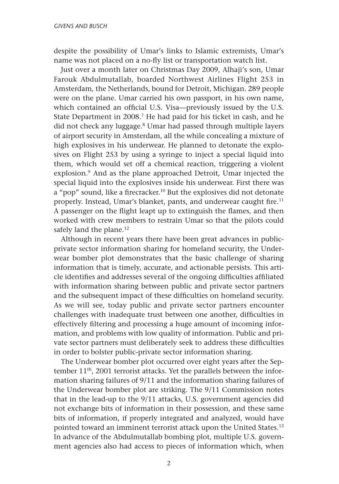despite the possibility of Umar's links to Islamic extremists, Umar's name was not placed on a no-fly list or transportation watch list.

Just over a month later on Christmas Day 2009, Alhaji's son, Umar Farouk Abdulmutallab, boarded Northwest Airlines Flight 253 in Amsterdam, the Netherlands, bound for Detroit, Michigan. 289 people were on the plane. Umar carried his own passport, in his own name, which contained an official U.S. Visa—previously issued by the U.S. State Department in 2008.<sup>7</sup> He had paid for his ticket in cash, and he did not check any luggage.<sup>8</sup> Umar had passed through multiple layers of airport security in Amsterdam, all the while concealing a mixture of high explosives in his underwear. He planned to detonate the explosives on Flight 253 by using a syringe to inject a special liquid into them, which would set off a chemical reaction, triggering a violent explosion.<sup>9</sup> And as the plane approached Detroit, Umar injected the special liquid into the explosives inside his underwear. First there was a "pop" sound, like a firecracker.<sup>10</sup> But the explosives did not detonate properly. Instead, Umar's blanket, pants, and underwear caught fire.<sup>11</sup> A passenger on the flight leapt up to extinguish the flames, and then worked with crew members to restrain Umar so that the pilots could safely land the plane.<sup>12</sup>

Although in recent years there have been great advances in publicprivate sector information sharing for homeland security, the Underwear bomber plot demonstrates that the basic challenge of sharing information that is timely, accurate, and actionable persists. This article identifies and addresses several of the ongoing difficulties affiliated with information sharing between public and private sector partners and the subsequent impact of these difficulties on homeland security. As we will see, today public and private sector partners encounter challenges with inadequate trust between one another, difficulties in effectively filtering and processing a huge amount of incoming information, and problems with low quality of information. Public and private sector partners must deliberately seek to address these difficulties in order to bolster public-private sector information sharing.

The Underwear bomber plot occurred over eight years after the September 11<sup>th</sup>, 2001 terrorist attacks. Yet the parallels between the information sharing failures of 9/11 and the information sharing failures of the Underwear bomber plot are striking. The 9/11 Commission notes that in the lead-up to the 9/11 attacks, U.S. government agencies did not exchange bits of information in their possession, and these same bits of information, if properly integrated and analyzed, would have pointed toward an imminent terrorist attack upon the United States.<sup>13</sup> In advance of the Abdulmutallab bombing plot, multiple U.S. government agencies also had access to pieces of information which, when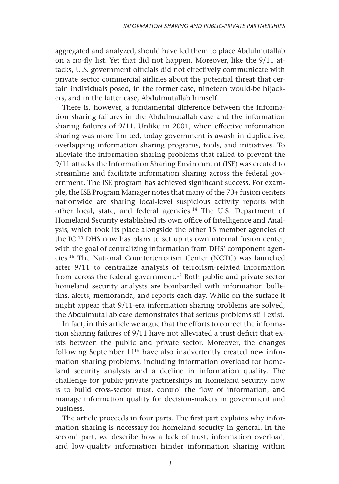aggregated and analyzed, should have led them to place Abdulmutallab on a no-fly list. Yet that did not happen. Moreover, like the 9/11 attacks, U.S. government officials did not effectively communicate with private sector commercial airlines about the potential threat that certain individuals posed, in the former case, nineteen would-be hijackers, and in the latter case, Abdulmutallab himself.

There is, however, a fundamental difference between the information sharing failures in the Abdulmutallab case and the information sharing failures of 9/11. Unlike in 2001, when effective information sharing was more limited, today government is awash in duplicative, overlapping information sharing programs, tools, and initiatives. To alleviate the information sharing problems that failed to prevent the 9/11 attacks the Information Sharing Environment (ISE) was created to streamline and facilitate information sharing across the federal government. The ISE program has achieved significant success. For example, the ISE Program Manager notes that many of the 70+ fusion centers nationwide are sharing local-level suspicious activity reports with other local, state, and federal agencies.<sup>14</sup> The U.S. Department of Homeland Security established its own office of Intelligence and Analysis, which took its place alongside the other 15 member agencies of the IC.15 DHS now has plans to set up its own internal fusion center, with the goal of centralizing information from DHS' component agencies.16 The National Counterterrorism Center (NCTC) was launched after 9/11 to centralize analysis of terrorism-related information from across the federal government.<sup>17</sup> Both public and private sector homeland security analysts are bombarded with information bulletins, alerts, memoranda, and reports each day. While on the surface it might appear that 9/11-era information sharing problems are solved, the Abdulmutallab case demonstrates that serious problems still exist.

In fact, in this article we argue that the efforts to correct the information sharing failures of 9/11 have not alleviated a trust deficit that exists between the public and private sector. Moreover, the changes following September 11th have also inadvertently created new information sharing problems, including information overload for homeland security analysts and a decline in information quality. The challenge for public-private partnerships in homeland security now is to build cross-sector trust, control the flow of information, and manage information quality for decision-makers in government and business.

The article proceeds in four parts. The first part explains why information sharing is necessary for homeland security in general. In the second part, we describe how a lack of trust, information overload, and low-quality information hinder information sharing within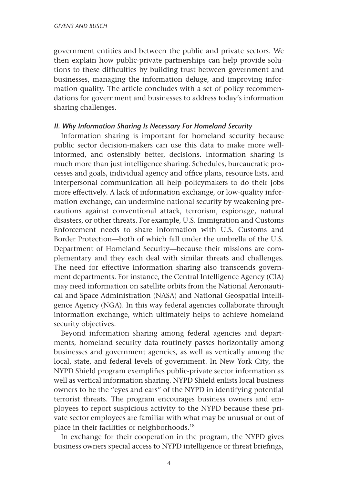government entities and between the public and private sectors. We then explain how public-private partnerships can help provide solutions to these difficulties by building trust between government and businesses, managing the information deluge, and improving information quality. The article concludes with a set of policy recommendations for government and businesses to address today's information sharing challenges.

### *II. Why Information Sharing Is Necessary For Homeland Security*

Information sharing is important for homeland security because public sector decision-makers can use this data to make more wellinformed, and ostensibly better, decisions. Information sharing is much more than just intelligence sharing. Schedules, bureaucratic processes and goals, individual agency and office plans, resource lists, and interpersonal communication all help policymakers to do their jobs more effectively. A lack of information exchange, or low-quality information exchange, can undermine national security by weakening precautions against conventional attack, terrorism, espionage, natural disasters, or other threats. For example, U.S. Immigration and Customs Enforcement needs to share information with U.S. Customs and Border Protection—both of which fall under the umbrella of the U.S. Department of Homeland Security—because their missions are complementary and they each deal with similar threats and challenges. The need for effective information sharing also transcends government departments. For instance, the Central Intelligence Agency (CIA) may need information on satellite orbits from the National Aeronautical and Space Administration (NASA) and National Geospatial Intelligence Agency (NGA). In this way federal agencies collaborate through information exchange, which ultimately helps to achieve homeland security objectives.

Beyond information sharing among federal agencies and departments, homeland security data routinely passes horizontally among businesses and government agencies, as well as vertically among the local, state, and federal levels of government. In New York City, the NYPD Shield program exemplifies public-private sector information as well as vertical information sharing. NYPD Shield enlists local business owners to be the "eyes and ears" of the NYPD in identifying potential terrorist threats. The program encourages business owners and employees to report suspicious activity to the NYPD because these private sector employees are familiar with what may be unusual or out of place in their facilities or neighborhoods.<sup>18</sup>

In exchange for their cooperation in the program, the NYPD gives business owners special access to NYPD intelligence or threat briefings,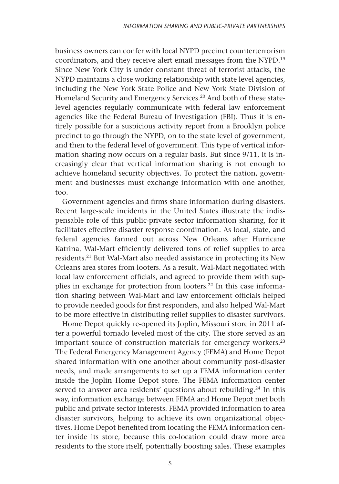business owners can confer with local NYPD precinct counterterrorism coordinators, and they receive alert email messages from the NYPD.19 Since New York City is under constant threat of terrorist attacks, the NYPD maintains a close working relationship with state level agencies, including the New York State Police and New York State Division of Homeland Security and Emergency Services.<sup>20</sup> And both of these statelevel agencies regularly communicate with federal law enforcement agencies like the Federal Bureau of Investigation (FBI). Thus it is entirely possible for a suspicious activity report from a Brooklyn police precinct to go through the NYPD, on to the state level of government, and then to the federal level of government. This type of vertical information sharing now occurs on a regular basis. But since 9/11, it is increasingly clear that vertical information sharing is not enough to achieve homeland security objectives. To protect the nation, government and businesses must exchange information with one another, too.

Government agencies and firms share information during disasters. Recent large-scale incidents in the United States illustrate the indispensable role of this public-private sector information sharing, for it facilitates effective disaster response coordination. As local, state, and federal agencies fanned out across New Orleans after Hurricane Katrina, Wal-Mart efficiently delivered tons of relief supplies to area residents.<sup>21</sup> But Wal-Mart also needed assistance in protecting its New Orleans area stores from looters. As a result, Wal-Mart negotiated with local law enforcement officials, and agreed to provide them with supplies in exchange for protection from looters.<sup>22</sup> In this case information sharing between Wal-Mart and law enforcement officials helped to provide needed goods for first responders, and also helped Wal-Mart to be more effective in distributing relief supplies to disaster survivors.

Home Depot quickly re-opened its Joplin, Missouri store in 2011 after a powerful tornado leveled most of the city. The store served as an important source of construction materials for emergency workers.<sup>23</sup> The Federal Emergency Management Agency (FEMA) and Home Depot shared information with one another about community post-disaster needs, and made arrangements to set up a FEMA information center inside the Joplin Home Depot store. The FEMA information center served to answer area residents' questions about rebuilding.<sup>24</sup> In this way, information exchange between FEMA and Home Depot met both public and private sector interests. FEMA provided information to area disaster survivors, helping to achieve its own organizational objectives. Home Depot benefited from locating the FEMA information center inside its store, because this co-location could draw more area residents to the store itself, potentially boosting sales. These examples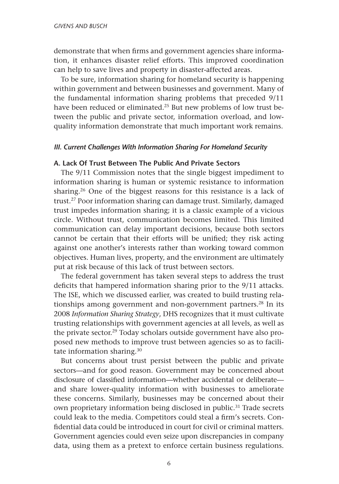demonstrate that when firms and government agencies share information, it enhances disaster relief efforts. This improved coordination can help to save lives and property in disaster-affected areas.

To be sure, information sharing for homeland security is happening within government and between businesses and government. Many of the fundamental information sharing problems that preceded 9/11 have been reduced or eliminated.<sup>25</sup> But new problems of low trust between the public and private sector, information overload, and lowquality information demonstrate that much important work remains.

### *III. Current Challenges With Information Sharing For Homeland Security*

#### **A. Lack Of Trust Between The Public And Private Sectors**

The 9/11 Commission notes that the single biggest impediment to information sharing is human or systemic resistance to information sharing.26 One of the biggest reasons for this resistance is a lack of trust.27 Poor information sharing can damage trust. Similarly, damaged trust impedes information sharing; it is a classic example of a vicious circle. Without trust, communication becomes limited. This limited communication can delay important decisions, because both sectors cannot be certain that their efforts will be unified; they risk acting against one another's interests rather than working toward common objectives. Human lives, property, and the environment are ultimately put at risk because of this lack of trust between sectors.

The federal government has taken several steps to address the trust deficits that hampered information sharing prior to the 9/11 attacks. The ISE, which we discussed earlier, was created to build trusting relationships among government and non-government partners.<sup>28</sup> In its 2008 *Information Sharing Strategy*, DHS recognizes that it must cultivate trusting relationships with government agencies at all levels, as well as the private sector.<sup>29</sup> Today scholars outside government have also proposed new methods to improve trust between agencies so as to facilitate information sharing.30

But concerns about trust persist between the public and private sectors—and for good reason. Government may be concerned about disclosure of classified information—whether accidental or deliberate and share lower-quality information with businesses to ameliorate these concerns. Similarly, businesses may be concerned about their own proprietary information being disclosed in public.<sup>31</sup> Trade secrets could leak to the media. Competitors could steal a firm's secrets. Confidential data could be introduced in court for civil or criminal matters. Government agencies could even seize upon discrepancies in company data, using them as a pretext to enforce certain business regulations.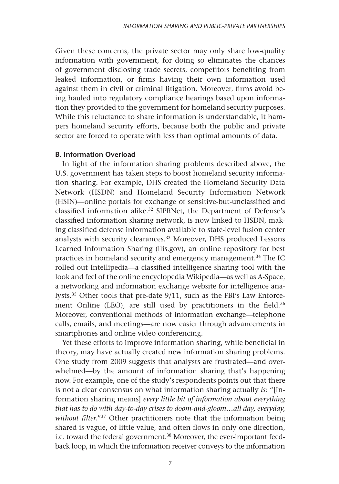Given these concerns, the private sector may only share low-quality information with government, for doing so eliminates the chances of government disclosing trade secrets, competitors benefiting from leaked information, or firms having their own information used against them in civil or criminal litigation. Moreover, firms avoid being hauled into regulatory compliance hearings based upon information they provided to the government for homeland security purposes. While this reluctance to share information is understandable, it hampers homeland security efforts, because both the public and private sector are forced to operate with less than optimal amounts of data.

### **B. Information Overload**

In light of the information sharing problems described above, the U.S. government has taken steps to boost homeland security information sharing. For example, DHS created the Homeland Security Data Network (HSDN) and Homeland Security Information Network (HSIN)—online portals for exchange of sensitive-but-unclassified and classified information alike.<sup>32</sup> SIPRNet, the Department of Defense's classified information sharing network, is now linked to HSDN, making classified defense information available to state-level fusion center analysts with security clearances.<sup>33</sup> Moreover, DHS produced Lessons Learned Information Sharing (llis.gov), an online repository for best practices in homeland security and emergency management.<sup>34</sup> The IC rolled out Intellipedia—a classified intelligence sharing tool with the look and feel of the online encyclopedia Wikipedia—as well as A-Space, a networking and information exchange website for intelligence analysts.35 Other tools that pre-date 9/11, such as the FBI's Law Enforcement Online (LEO), are still used by practitioners in the field.<sup>36</sup> Moreover, conventional methods of information exchange—telephone calls, emails, and meetings—are now easier through advancements in smartphones and online video conferencing.

Yet these efforts to improve information sharing, while beneficial in theory, may have actually created new information sharing problems. One study from 2009 suggests that analysts are frustrated—and overwhelmed—by the amount of information sharing that's happening now. For example, one of the study's respondents points out that there is not a clear consensus on what information sharing actually *is*: "[Information sharing means] *every little bit of information about everything that has to do with day-to-day crises to doom-and-gloom…all day, everyday,*  without filter."<sup>37</sup> Other practitioners note that the information being shared is vague, of little value, and often flows in only one direction, i.e. toward the federal government.<sup>38</sup> Moreover, the ever-important feedback loop, in which the information receiver conveys to the information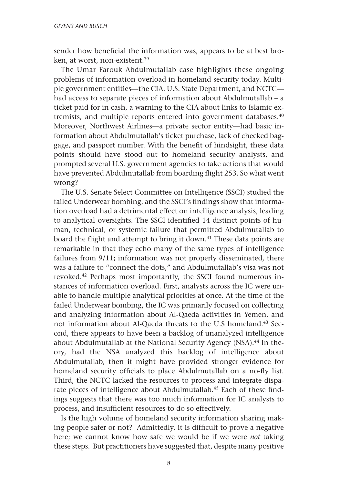sender how beneficial the information was, appears to be at best broken, at worst, non-existent.39

The Umar Farouk Abdulmutallab case highlights these ongoing problems of information overload in homeland security today. Multiple government entities—the CIA, U.S. State Department, and NCTC had access to separate pieces of information about Abdulmutallab – a ticket paid for in cash, a warning to the CIA about links to Islamic extremists, and multiple reports entered into government databases.<sup>40</sup> Moreover, Northwest Airlines—a private sector entity—had basic information about Abdulmutallab's ticket purchase, lack of checked baggage, and passport number. With the benefit of hindsight, these data points should have stood out to homeland security analysts, and prompted several U.S. government agencies to take actions that would have prevented Abdulmutallab from boarding flight 253. So what went wrong?

The U.S. Senate Select Committee on Intelligence (SSCI) studied the failed Underwear bombing, and the SSCI's findings show that information overload had a detrimental effect on intelligence analysis, leading to analytical oversights. The SSCI identified 14 distinct points of human, technical, or systemic failure that permitted Abdulmutallab to board the flight and attempt to bring it down.<sup>41</sup> These data points are remarkable in that they echo many of the same types of intelligence failures from 9/11; information was not properly disseminated, there was a failure to "connect the dots," and Abdulmutallab's visa was not revoked.42 Perhaps most importantly, the SSCI found numerous instances of information overload. First, analysts across the IC were unable to handle multiple analytical priorities at once. At the time of the failed Underwear bombing, the IC was primarily focused on collecting and analyzing information about Al-Qaeda activities in Yemen, and not information about Al-Qaeda threats to the U.S homeland.<sup>43</sup> Second, there appears to have been a backlog of unanalyzed intelligence about Abdulmutallab at the National Security Agency (NSA).<sup>44</sup> In theory, had the NSA analyzed this backlog of intelligence about Abdulmutallab, then it might have provided stronger evidence for homeland security officials to place Abdulmutallab on a no-fly list. Third, the NCTC lacked the resources to process and integrate disparate pieces of intelligence about Abdulmutallab.<sup>45</sup> Each of these findings suggests that there was too much information for IC analysts to process, and insufficient resources to do so effectively.

Is the high volume of homeland security information sharing making people safer or not? Admittedly, it is difficult to prove a negative here; we cannot know how safe we would be if we were *not* taking these steps. But practitioners have suggested that, despite many positive

8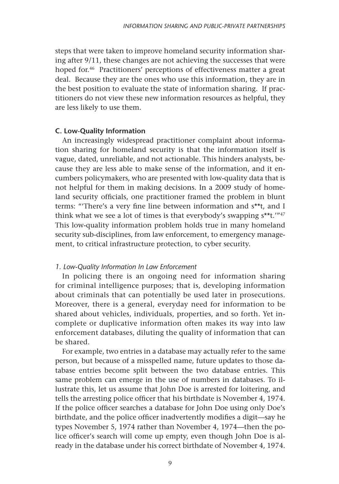steps that were taken to improve homeland security information sharing after 9/11, these changes are not achieving the successes that were hoped for.<sup>46</sup> Practitioners' perceptions of effectiveness matter a great deal. Because they are the ones who use this information, they are in the best position to evaluate the state of information sharing. If practitioners do not view these new information resources as helpful, they are less likely to use them.

### **C. Low-Quality Information**

An increasingly widespread practitioner complaint about information sharing for homeland security is that the information itself is vague, dated, unreliable, and not actionable. This hinders analysts, because they are less able to make sense of the information, and it encumbers policymakers, who are presented with low-quality data that is not helpful for them in making decisions. In a 2009 study of homeland security officials, one practitioner framed the problem in blunt terms: "There's a very fine line between information and s\*\*t, and I think what we see a lot of times is that everybody's swapping s\*\*t.'"<sup>47</sup> This low-quality information problem holds true in many homeland security sub-disciplines, from law enforcement, to emergency management, to critical infrastructure protection, to cyber security.

### *1. Low-Quality Information In Law Enforcement*

In policing there is an ongoing need for information sharing for criminal intelligence purposes; that is, developing information about criminals that can potentially be used later in prosecutions. Moreover, there is a general, everyday need for information to be shared about vehicles, individuals, properties, and so forth. Yet incomplete or duplicative information often makes its way into law enforcement databases, diluting the quality of information that can be shared.

For example, two entries in a database may actually refer to the same person, but because of a misspelled name, future updates to those database entries become split between the two database entries. This same problem can emerge in the use of numbers in databases. To illustrate this, let us assume that John Doe is arrested for loitering, and tells the arresting police officer that his birthdate is November 4, 1974. If the police officer searches a database for John Doe using only Doe's birthdate, and the police officer inadvertently modifies a digit—say he types November 5, 1974 rather than November 4, 1974—then the police officer's search will come up empty, even though John Doe is already in the database under his correct birthdate of November 4, 1974.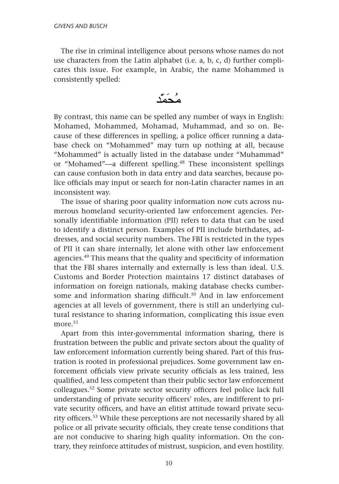The rise in criminal intelligence about persons whose names do not use characters from the Latin alphabet (i.e. a, b, c, d) further complicates this issue. For example, in Arabic, the name Mohammed is consistently spelled:

مَدَمَّد

By contrast, this name can be spelled any number of ways in English: Mohamed, Mohammed, Mohamad, Muhammad, and so on. Because of these differences in spelling, a police officer running a database check on "Mohammed" may turn up nothing at all, because "Mohammed" is actually listed in the database under "Muhammad" or "Mohamed"—a different spelling.<sup>48</sup> These inconsistent spellings can cause confusion both in data entry and data searches, because police officials may input or search for non-Latin character names in an inconsistent way.

The issue of sharing poor quality information now cuts across numerous homeland security-oriented law enforcement agencies. Personally identifiable information (PII) refers to data that can be used to identify a distinct person. Examples of PII include birthdates, addresses, and social security numbers. The FBI is restricted in the types of PII it can share internally, let alone with other law enforcement agencies.<sup>49</sup> This means that the quality and specificity of information that the FBI shares internally and externally is less than ideal. U.S. Customs and Border Protection maintains 17 distinct databases of information on foreign nationals, making database checks cumbersome and information sharing difficult.<sup>50</sup> And in law enforcement agencies at all levels of government, there is still an underlying cultural resistance to sharing information, complicating this issue even more.<sup>51</sup>

Apart from this inter-governmental information sharing, there is frustration between the public and private sectors about the quality of law enforcement information currently being shared. Part of this frustration is rooted in professional prejudices. Some government law enforcement officials view private security officials as less trained, less qualified, and less competent than their public sector law enforcement colleagues.<sup>52</sup> Some private sector security officers feel police lack full understanding of private security officers' roles, are indifferent to private security officers, and have an elitist attitude toward private security officers.<sup>53</sup> While these perceptions are not necessarily shared by all police or all private security officials, they create tense conditions that are not conducive to sharing high quality information. On the contrary, they reinforce attitudes of mistrust, suspicion, and even hostility.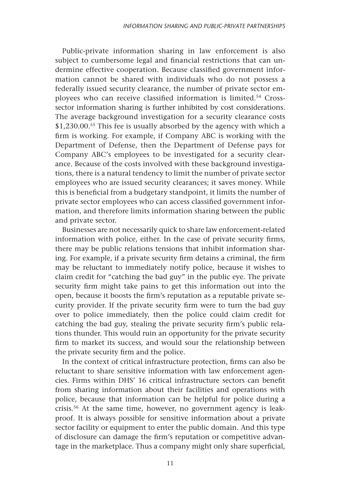Public-private information sharing in law enforcement is also subject to cumbersome legal and financial restrictions that can undermine effective cooperation. Because classified government information cannot be shared with individuals who do not possess a federally issued security clearance, the number of private sector employees who can receive classified information is limited.<sup>54</sup> Crosssector information sharing is further inhibited by cost considerations. The average background investigation for a security clearance costs \$1,230.00.<sup>55</sup> This fee is usually absorbed by the agency with which a firm is working. For example, if Company ABC is working with the Department of Defense, then the Department of Defense pays for Company ABC's employees to be investigated for a security clearance. Because of the costs involved with these background investigations, there is a natural tendency to limit the number of private sector employees who are issued security clearances; it saves money. While this is beneficial from a budgetary standpoint, it limits the number of private sector employees who can access classified government information, and therefore limits information sharing between the public and private sector.

Businesses are not necessarily quick to share law enforcement-related information with police, either. In the case of private security firms, there may be public relations tensions that inhibit information sharing. For example, if a private security firm detains a criminal, the firm may be reluctant to immediately notify police, because it wishes to claim credit for "catching the bad guy" in the public eye. The private security firm might take pains to get this information out into the open, because it boosts the firm's reputation as a reputable private security provider. If the private security firm were to turn the bad guy over to police immediately, then the police could claim credit for catching the bad guy, stealing the private security firm's public relations thunder. This would ruin an opportunity for the private security firm to market its success, and would sour the relationship between the private security firm and the police.

In the context of critical infrastructure protection, firms can also be reluctant to share sensitive information with law enforcement agencies. Firms within DHS' 16 critical infrastructure sectors can benefit from sharing information about their facilities and operations with police, because that information can be helpful for police during a crisis.56 At the same time, however, no government agency is leakproof. It is always possible for sensitive information about a private sector facility or equipment to enter the public domain. And this type of disclosure can damage the firm's reputation or competitive advantage in the marketplace. Thus a company might only share superficial,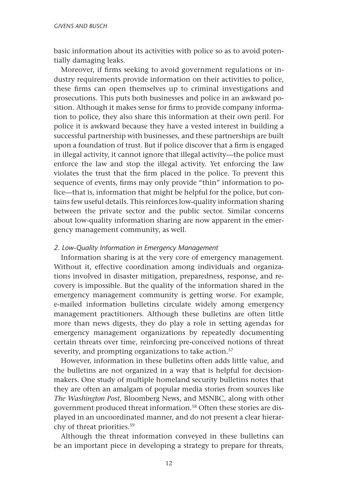basic information about its activities with police so as to avoid potentially damaging leaks.

Moreover, if firms seeking to avoid government regulations or industry requirements provide information on their activities to police, these firms can open themselves up to criminal investigations and prosecutions. This puts both businesses and police in an awkward position. Although it makes sense for firms to provide company information to police, they also share this information at their own peril. For police it is awkward because they have a vested interest in building a successful partnership with businesses, and these partnerships are built upon a foundation of trust. But if police discover that a firm is engaged in illegal activity, it cannot ignore that illegal activity—the police must enforce the law and stop the illegal activity. Yet enforcing the law violates the trust that the firm placed in the police. To prevent this sequence of events, firms may only provide "thin" information to police—that is, information that might be helpful for the police, but contains few useful details. This reinforces low-quality information sharing between the private sector and the public sector. Similar concerns about low-quality information sharing are now apparent in the emergency management community, as well.

### *2. Low-Quality Information in Emergency Management*

Information sharing is at the very core of emergency management. Without it, effective coordination among individuals and organizations involved in disaster mitigation, preparedness, response, and recovery is impossible. But the quality of the information shared in the emergency management community is getting worse. For example, e-mailed information bulletins circulate widely among emergency management practitioners. Although these bulletins are often little more than news digests, they do play a role in setting agendas for emergency management organizations by repeatedly documenting certain threats over time, reinforcing pre-conceived notions of threat severity, and prompting organizations to take action.<sup>57</sup>

However, information in these bulletins often adds little value, and the bulletins are not organized in a way that is helpful for decisionmakers. One study of multiple homeland security bulletins notes that they are often an amalgam of popular media stories from sources like *The Washington Post*, Bloomberg News, and MSNBC, along with other government produced threat information.<sup>58</sup> Often these stories are displayed in an uncoordinated manner, and do not present a clear hierarchy of threat priorities.59

Although the threat information conveyed in these bulletins can be an important piece in developing a strategy to prepare for threats,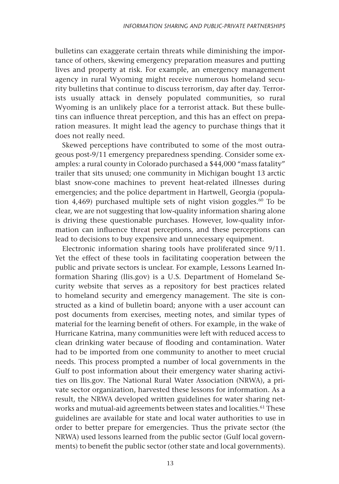bulletins can exaggerate certain threats while diminishing the importance of others, skewing emergency preparation measures and putting lives and property at risk. For example, an emergency management agency in rural Wyoming might receive numerous homeland security bulletins that continue to discuss terrorism, day after day. Terrorists usually attack in densely populated communities, so rural Wyoming is an unlikely place for a terrorist attack. But these bulletins can influence threat perception, and this has an effect on preparation measures. It might lead the agency to purchase things that it does not really need.

Skewed perceptions have contributed to some of the most outrageous post-9/11 emergency preparedness spending. Consider some examples: a rural county in Colorado purchased a \$44,000 "mass fatality" trailer that sits unused; one community in Michigan bought 13 arctic blast snow-cone machines to prevent heat-related illnesses during emergencies; and the police department in Hartwell, Georgia (population 4,469) purchased multiple sets of night vision goggles. $60$  To be clear, we are not suggesting that low-quality information sharing alone is driving these questionable purchases. However, low-quality information can influence threat perceptions, and these perceptions can lead to decisions to buy expensive and unnecessary equipment.

Electronic information sharing tools have proliferated since 9/11. Yet the effect of these tools in facilitating cooperation between the public and private sectors is unclear. For example, Lessons Learned Information Sharing (llis.gov) is a U.S. Department of Homeland Security website that serves as a repository for best practices related to homeland security and emergency management. The site is constructed as a kind of bulletin board; anyone with a user account can post documents from exercises, meeting notes, and similar types of material for the learning benefit of others. For example, in the wake of Hurricane Katrina, many communities were left with reduced access to clean drinking water because of flooding and contamination. Water had to be imported from one community to another to meet crucial needs. This process prompted a number of local governments in the Gulf to post information about their emergency water sharing activities on llis.gov. The National Rural Water Association (NRWA), a private sector organization, harvested these lessons for information. As a result, the NRWA developed written guidelines for water sharing networks and mutual-aid agreements between states and localities.<sup>61</sup> These guidelines are available for state and local water authorities to use in order to better prepare for emergencies. Thus the private sector (the NRWA) used lessons learned from the public sector (Gulf local governments) to benefit the public sector (other state and local governments).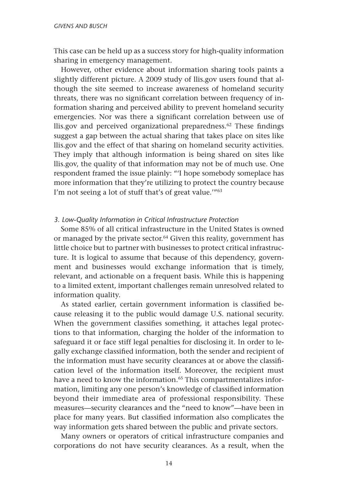This case can be held up as a success story for high-quality information sharing in emergency management.

However, other evidence about information sharing tools paints a slightly different picture. A 2009 study of llis.gov users found that although the site seemed to increase awareness of homeland security threats, there was no significant correlation between frequency of information sharing and perceived ability to prevent homeland security emergencies. Nor was there a significant correlation between use of llis.gov and perceived organizational preparedness. $62$  These findings suggest a gap between the actual sharing that takes place on sites like llis.gov and the effect of that sharing on homeland security activities. They imply that although information is being shared on sites like llis.gov, the quality of that information may not be of much use. One respondent framed the issue plainly: "'I hope somebody someplace has more information that they're utilizing to protect the country because I'm not seeing a lot of stuff that's of great value."<sup>63</sup>

### *3. Low-Quality Information in Critical Infrastructure Protection*

Some 85% of all critical infrastructure in the United States is owned or managed by the private sector.<sup>64</sup> Given this reality, government has little choice but to partner with businesses to protect critical infrastructure. It is logical to assume that because of this dependency, government and businesses would exchange information that is timely, relevant, and actionable on a frequent basis. While this is happening to a limited extent, important challenges remain unresolved related to information quality.

As stated earlier, certain government information is classified because releasing it to the public would damage U.S. national security. When the government classifies something, it attaches legal protections to that information, charging the holder of the information to safeguard it or face stiff legal penalties for disclosing it. In order to legally exchange classified information, both the sender and recipient of the information must have security clearances at or above the classification level of the information itself. Moreover, the recipient must have a need to know the information.<sup>65</sup> This compartmentalizes information, limiting any one person's knowledge of classified information beyond their immediate area of professional responsibility. These measures—security clearances and the "need to know"—have been in place for many years. But classified information also complicates the way information gets shared between the public and private sectors.

Many owners or operators of critical infrastructure companies and corporations do not have security clearances. As a result, when the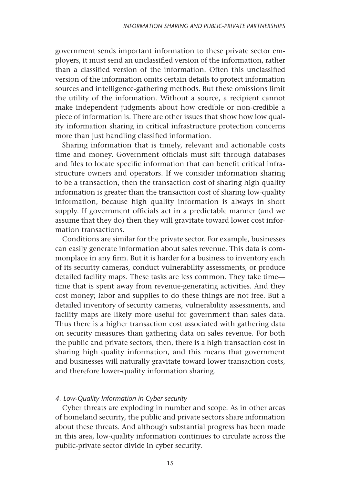government sends important information to these private sector employers, it must send an unclassified version of the information, rather than a classified version of the information. Often this unclassified version of the information omits certain details to protect information sources and intelligence-gathering methods. But these omissions limit the utility of the information. Without a source, a recipient cannot make independent judgments about how credible or non-credible a piece of information is. There are other issues that show how low quality information sharing in critical infrastructure protection concerns more than just handling classified information.

Sharing information that is timely, relevant and actionable costs time and money. Government officials must sift through databases and files to locate specific information that can benefit critical infrastructure owners and operators. If we consider information sharing to be a transaction, then the transaction cost of sharing high quality information is greater than the transaction cost of sharing low-quality information, because high quality information is always in short supply. If government officials act in a predictable manner (and we assume that they do) then they will gravitate toward lower cost information transactions.

Conditions are similar for the private sector. For example, businesses can easily generate information about sales revenue. This data is commonplace in any firm. But it is harder for a business to inventory each of its security cameras, conduct vulnerability assessments, or produce detailed facility maps. These tasks are less common. They take time time that is spent away from revenue-generating activities. And they cost money; labor and supplies to do these things are not free. But a detailed inventory of security cameras, vulnerability assessments, and facility maps are likely more useful for government than sales data. Thus there is a higher transaction cost associated with gathering data on security measures than gathering data on sales revenue. For both the public and private sectors, then, there is a high transaction cost in sharing high quality information, and this means that government and businesses will naturally gravitate toward lower transaction costs, and therefore lower-quality information sharing.

### *4. Low-Quality Information in Cyber security*

Cyber threats are exploding in number and scope. As in other areas of homeland security, the public and private sectors share information about these threats. And although substantial progress has been made in this area, low-quality information continues to circulate across the public-private sector divide in cyber security.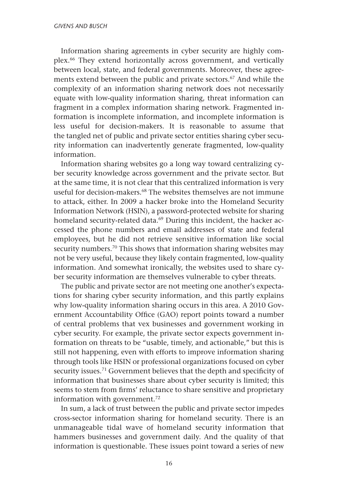Information sharing agreements in cyber security are highly complex.66 They extend horizontally across government, and vertically between local, state, and federal governments. Moreover, these agreements extend between the public and private sectors.<sup>67</sup> And while the complexity of an information sharing network does not necessarily equate with low-quality information sharing, threat information can fragment in a complex information sharing network. Fragmented information is incomplete information, and incomplete information is less useful for decision-makers. It is reasonable to assume that the tangled net of public and private sector entities sharing cyber security information can inadvertently generate fragmented, low-quality information.

Information sharing websites go a long way toward centralizing cyber security knowledge across government and the private sector. But at the same time, it is not clear that this centralized information is very useful for decision-makers.<sup>68</sup> The websites themselves are not immune to attack, either. In 2009 a hacker broke into the Homeland Security Information Network (HSIN), a password-protected website for sharing homeland security-related data.<sup>69</sup> During this incident, the hacker accessed the phone numbers and email addresses of state and federal employees, but he did not retrieve sensitive information like social security numbers.<sup>70</sup> This shows that information sharing websites may not be very useful, because they likely contain fragmented, low-quality information. And somewhat ironically, the websites used to share cyber security information are themselves vulnerable to cyber threats.

The public and private sector are not meeting one another's expectations for sharing cyber security information, and this partly explains why low-quality information sharing occurs in this area. A 2010 Government Accountability Office (GAO) report points toward a number of central problems that vex businesses and government working in cyber security. For example, the private sector expects government information on threats to be "usable, timely, and actionable," but this is still not happening, even with efforts to improve information sharing through tools like HSIN or professional organizations focused on cyber security issues.<sup>71</sup> Government believes that the depth and specificity of information that businesses share about cyber security is limited; this seems to stem from firms' reluctance to share sensitive and proprietary information with government.<sup>72</sup>

In sum, a lack of trust between the public and private sector impedes cross-sector information sharing for homeland security. There is an unmanageable tidal wave of homeland security information that hammers businesses and government daily. And the quality of that information is questionable. These issues point toward a series of new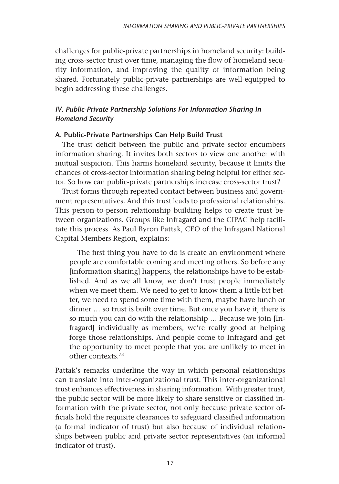challenges for public-private partnerships in homeland security: building cross-sector trust over time, managing the flow of homeland security information, and improving the quality of information being shared. Fortunately public-private partnerships are well-equipped to begin addressing these challenges.

# *IV. Public-Private Partnership Solutions For Information Sharing In Homeland Security*

### **A. Public-Private Partnerships Can Help Build Trust**

The trust deficit between the public and private sector encumbers information sharing. It invites both sectors to view one another with mutual suspicion. This harms homeland security, because it limits the chances of cross-sector information sharing being helpful for either sector. So how can public-private partnerships increase cross-sector trust?

Trust forms through repeated contact between business and government representatives. And this trust leads to professional relationships. This person-to-person relationship building helps to create trust between organizations. Groups like Infragard and the CIPAC help facilitate this process. As Paul Byron Pattak, CEO of the Infragard National Capital Members Region, explains:

The first thing you have to do is create an environment where people are comfortable coming and meeting others. So before any [information sharing] happens, the relationships have to be established. And as we all know, we don't trust people immediately when we meet them. We need to get to know them a little bit better, we need to spend some time with them, maybe have lunch or dinner … so trust is built over time. But once you have it, there is so much you can do with the relationship … Because we join [Infragard] individually as members, we're really good at helping forge those relationships. And people come to Infragard and get the opportunity to meet people that you are unlikely to meet in other contexts.73

Pattak's remarks underline the way in which personal relationships can translate into inter-organizational trust. This inter-organizational trust enhances effectiveness in sharing information. With greater trust, the public sector will be more likely to share sensitive or classified information with the private sector, not only because private sector officials hold the requisite clearances to safeguard classified information (a formal indicator of trust) but also because of individual relationships between public and private sector representatives (an informal indicator of trust).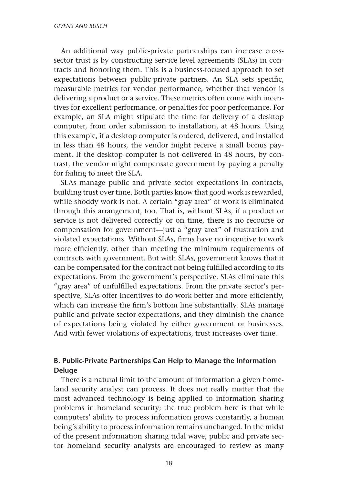An additional way public-private partnerships can increase crosssector trust is by constructing service level agreements (SLAs) in contracts and honoring them. This is a business-focused approach to set expectations between public-private partners. An SLA sets specific, measurable metrics for vendor performance, whether that vendor is delivering a product or a service. These metrics often come with incentives for excellent performance, or penalties for poor performance. For example, an SLA might stipulate the time for delivery of a desktop computer, from order submission to installation, at 48 hours. Using this example, if a desktop computer is ordered, delivered, and installed in less than 48 hours, the vendor might receive a small bonus payment. If the desktop computer is not delivered in 48 hours, by contrast, the vendor might compensate government by paying a penalty for failing to meet the SLA.

SLAs manage public and private sector expectations in contracts, building trust over time. Both parties know that good work is rewarded, while shoddy work is not. A certain "gray area" of work is eliminated through this arrangement, too. That is, without SLAs, if a product or service is not delivered correctly or on time, there is no recourse or compensation for government—just a "gray area" of frustration and violated expectations. Without SLAs, firms have no incentive to work more efficiently, other than meeting the minimum requirements of contracts with government. But with SLAs, government knows that it can be compensated for the contract not being fulfilled according to its expectations. From the government's perspective, SLAs eliminate this "gray area" of unfulfilled expectations. From the private sector's perspective, SLAs offer incentives to do work better and more efficiently, which can increase the firm's bottom line substantially. SLAs manage public and private sector expectations, and they diminish the chance of expectations being violated by either government or businesses. And with fewer violations of expectations, trust increases over time.

## **B. Public-Private Partnerships Can Help to Manage the Information Deluge**

There is a natural limit to the amount of information a given homeland security analyst can process. It does not really matter that the most advanced technology is being applied to information sharing problems in homeland security; the true problem here is that while computers' ability to process information grows constantly, a human being's ability to process information remains unchanged. In the midst of the present information sharing tidal wave, public and private sector homeland security analysts are encouraged to review as many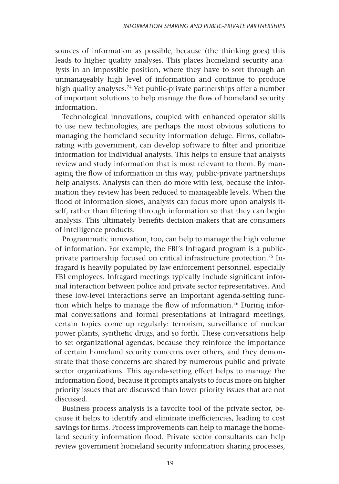sources of information as possible, because (the thinking goes) this leads to higher quality analyses. This places homeland security analysts in an impossible position, where they have to sort through an unmanageably high level of information and continue to produce high quality analyses.<sup>74</sup> Yet public-private partnerships offer a number of important solutions to help manage the flow of homeland security information.

Technological innovations, coupled with enhanced operator skills to use new technologies, are perhaps the most obvious solutions to managing the homeland security information deluge. Firms, collaborating with government, can develop software to filter and prioritize information for individual analysts. This helps to ensure that analysts review and study information that is most relevant to them. By managing the flow of information in this way, public-private partnerships help analysts. Analysts can then do more with less, because the information they review has been reduced to manageable levels. When the flood of information slows, analysts can focus more upon analysis itself, rather than filtering through information so that they can begin analysis. This ultimately benefits decision-makers that are consumers of intelligence products.

Programmatic innovation, too, can help to manage the high volume of information. For example, the FBI's Infragard program is a publicprivate partnership focused on critical infrastructure protection.<sup>75</sup> Infragard is heavily populated by law enforcement personnel, especially FBI employees. Infragard meetings typically include significant informal interaction between police and private sector representatives. And these low-level interactions serve an important agenda-setting function which helps to manage the flow of information.<sup>76</sup> During informal conversations and formal presentations at Infragard meetings, certain topics come up regularly: terrorism, surveillance of nuclear power plants, synthetic drugs, and so forth. These conversations help to set organizational agendas, because they reinforce the importance of certain homeland security concerns over others, and they demonstrate that those concerns are shared by numerous public and private sector organizations. This agenda-setting effect helps to manage the information flood, because it prompts analysts to focus more on higher priority issues that are discussed than lower priority issues that are not discussed.

Business process analysis is a favorite tool of the private sector, because it helps to identify and eliminate inefficiencies, leading to cost savings for firms. Process improvements can help to manage the homeland security information flood. Private sector consultants can help review government homeland security information sharing processes,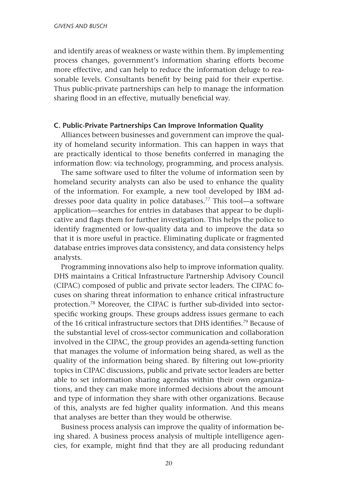and identify areas of weakness or waste within them. By implementing process changes, government's information sharing efforts become more effective, and can help to reduce the information deluge to reasonable levels. Consultants benefit by being paid for their expertise. Thus public-private partnerships can help to manage the information sharing flood in an effective, mutually beneficial way.

### **C. Public-Private Partnerships Can Improve Information Quality**

Alliances between businesses and government can improve the quality of homeland security information. This can happen in ways that are practically identical to those benefits conferred in managing the information flow: via technology, programming, and process analysis.

The same software used to filter the volume of information seen by homeland security analysts can also be used to enhance the quality of the information. For example, a new tool developed by IBM addresses poor data quality in police databases.77 This tool—a software application—searches for entries in databases that appear to be duplicative and flags them for further investigation. This helps the police to identify fragmented or low-quality data and to improve the data so that it is more useful in practice. Eliminating duplicate or fragmented database entries improves data consistency, and data consistency helps analysts.

Programming innovations also help to improve information quality. DHS maintains a Critical Infrastructure Partnership Advisory Council (CIPAC) composed of public and private sector leaders. The CIPAC focuses on sharing threat information to enhance critical infrastructure protection.78 Moreover, the CIPAC is further sub-divided into sectorspecific working groups. These groups address issues germane to each of the 16 critical infrastructure sectors that DHS identifies.<sup>79</sup> Because of the substantial level of cross-sector communication and collaboration involved in the CIPAC, the group provides an agenda-setting function that manages the volume of information being shared, as well as the quality of the information being shared. By filtering out low-priority topics in CIPAC discussions, public and private sector leaders are better able to set information sharing agendas within their own organizations, and they can make more informed decisions about the amount and type of information they share with other organizations. Because of this, analysts are fed higher quality information. And this means that analyses are better than they would be otherwise.

Business process analysis can improve the quality of information being shared. A business process analysis of multiple intelligence agencies, for example, might find that they are all producing redundant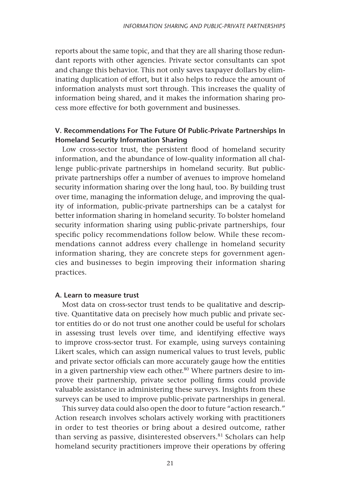reports about the same topic, and that they are all sharing those redundant reports with other agencies. Private sector consultants can spot and change this behavior. This not only saves taxpayer dollars by eliminating duplication of effort, but it also helps to reduce the amount of information analysts must sort through. This increases the quality of information being shared, and it makes the information sharing process more effective for both government and businesses.

## **V. Recommendations For The Future Of Public-Private Partnerships In Homeland Security Information Sharing**

Low cross-sector trust, the persistent flood of homeland security information, and the abundance of low-quality information all challenge public-private partnerships in homeland security. But publicprivate partnerships offer a number of avenues to improve homeland security information sharing over the long haul, too. By building trust over time, managing the information deluge, and improving the quality of information, public-private partnerships can be a catalyst for better information sharing in homeland security. To bolster homeland security information sharing using public-private partnerships, four specific policy recommendations follow below. While these recommendations cannot address every challenge in homeland security information sharing, they are concrete steps for government agencies and businesses to begin improving their information sharing practices.

### **A. Learn to measure trust**

Most data on cross-sector trust tends to be qualitative and descriptive. Quantitative data on precisely how much public and private sector entities do or do not trust one another could be useful for scholars in assessing trust levels over time, and identifying effective ways to improve cross-sector trust. For example, using surveys containing Likert scales, which can assign numerical values to trust levels, public and private sector officials can more accurately gauge how the entities in a given partnership view each other.<sup>80</sup> Where partners desire to improve their partnership, private sector polling firms could provide valuable assistance in administering these surveys. Insights from these surveys can be used to improve public-private partnerships in general.

This survey data could also open the door to future "action research." Action research involves scholars actively working with practitioners in order to test theories or bring about a desired outcome, rather than serving as passive, disinterested observers.<sup>81</sup> Scholars can help homeland security practitioners improve their operations by offering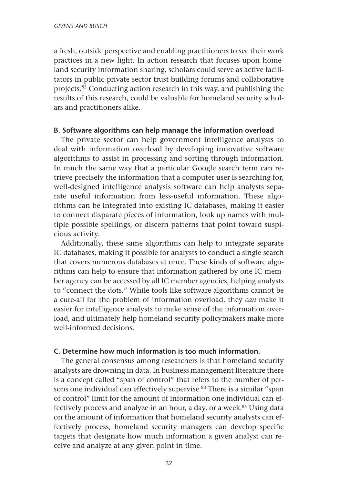a fresh, outside perspective and enabling practitioners to see their work practices in a new light. In action research that focuses upon homeland security information sharing, scholars could serve as active facilitators in public-private sector trust-building forums and collaborative projects.82 Conducting action research in this way, and publishing the results of this research, could be valuable for homeland security scholars and practitioners alike.

### **B. Software algorithms can help manage the information overload**

The private sector can help government intelligence analysts to deal with information overload by developing innovative software algorithms to assist in processing and sorting through information. In much the same way that a particular Google search term can retrieve precisely the information that a computer user is searching for, well-designed intelligence analysis software can help analysts separate useful information from less-useful information. These algorithms can be integrated into existing IC databases, making it easier to connect disparate pieces of information, look up names with multiple possible spellings, or discern patterns that point toward suspicious activity.

Additionally, these same algorithms can help to integrate separate IC databases, making it possible for analysts to conduct a single search that covers numerous databases at once. These kinds of software algorithms can help to ensure that information gathered by one IC member agency can be accessed by all IC member agencies, helping analysts to "connect the dots." While tools like software algorithms cannot be a cure-all for the problem of information overload, they *can* make it easier for intelligence analysts to make sense of the information overload, and ultimately help homeland security policymakers make more well-informed decisions.

# **C. Determine how much information is too much information.**

The general consensus among researchers is that homeland security analysts are drowning in data. In business management literature there is a concept called "span of control" that refers to the number of persons one individual can effectively supervise.<sup>83</sup> There is a similar "span of control" limit for the amount of information one individual can effectively process and analyze in an hour, a day, or a week.<sup>84</sup> Using data on the amount of information that homeland security analysts can effectively process, homeland security managers can develop specific targets that designate how much information a given analyst can receive and analyze at any given point in time.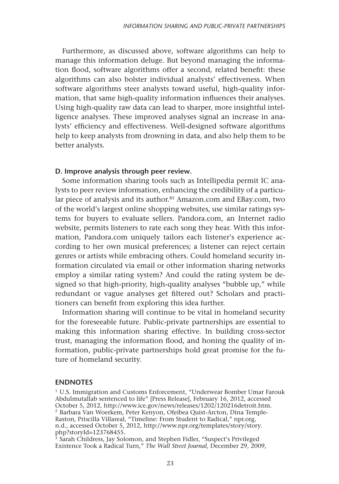Furthermore, as discussed above, software algorithms can help to manage this information deluge. But beyond managing the information flood, software algorithms offer a second, related benefit: these algorithms can also bolster individual analysts' effectiveness. When software algorithms steer analysts toward useful, high-quality information, that same high-quality information influences their analyses. Using high-quality raw data can lead to sharper, more insightful intelligence analyses. These improved analyses signal an increase in analysts' efficiency and effectiveness. Well-designed software algorithms help to keep analysts from drowning in data, and also help them to be better analysts.

#### **D. Improve analysis through peer review.**

Some information sharing tools such as Intellipedia permit IC analysts to peer review information, enhancing the credibility of a particular piece of analysis and its author.<sup>85</sup> Amazon.com and EBay.com, two of the world's largest online shopping websites, use similar ratings systems for buyers to evaluate sellers. Pandora.com, an Internet radio website, permits listeners to rate each song they hear. With this information, Pandora.com uniquely tailors each listener's experience according to her own musical preferences; a listener can reject certain genres or artists while embracing others. Could homeland security information circulated via email or other information sharing networks employ a similar rating system? And could the rating system be designed so that high-priority, high-quality analyses "bubble up," while redundant or vague analyses get filtered out? Scholars and practitioners can benefit from exploring this idea further.

Information sharing will continue to be vital in homeland security for the foreseeable future. Public-private partnerships are essential to making this information sharing effective. In building cross-sector trust, managing the information flood, and honing the quality of information, public-private partnerships hold great promise for the future of homeland security.

#### **ENDNOTES**

<sup>1</sup> U.S. Immigration and Customs Enforcement, "Underwear Bomber Umar Farouk Abdulmutallab sentenced to life" [Press Release], February 16, 2012, accessed October 5, 2012, http://www.ice.gov/news/releases/1202/120216detroit.htm. 2 Barbara Van Woerkem, Peter Kenyon, Ofeibea Quist-Arcton, Dina Temple-Raston, Priscilla Villareal, "Timeline: From Student to Radical," npr.org, n.d., accessed October 5, 2012, http://www.npr.org/templates/story/story. php?storyId=123768455.

<sup>3</sup> Sarah Childress, Jay Solomon, and Stephen Fidler, "Suspect's Privileged Existence Took a Radical Turn," *The Wall Street Journal*, December 29, 2009,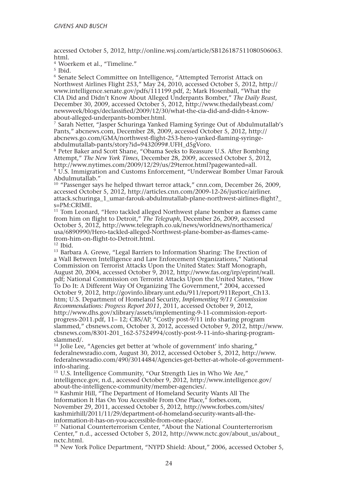accessed October 5, 2012, http://online.wsj.com/article/SB126187511080506063. html.

4 Woerkem et al., "Timeline."

5 Ibid.

6 Senate Select Committee on Intelligence, "Attempted Terrorist Attack on Northwest Airlines Flight 253," May 24, 2010, accessed October 5, 2012, http:// www.intelligence.senate.gov/pdfs/111199.pdf, 2; Mark Hosenball, "What the CIA Did and Didn't Know About Alleged Underpants Bomber," *The Daily Beast*, December 30, 2009, accessed October 5, 2012, http://www.thedailybeast.com/ newsweek/blogs/declassified/2009/12/30/what-the-cia-did-and-didn-t-knowabout-alleged-underpants-bomber.html.

7 Sarah Netter, "Jasper Schuringa Yanked Flaming Syringe Out of Abdulmutallab's Pants," abcnews.com, December 28, 2009, accessed October 5, 2012, http:// abcnews.go.com/GMA/northwest-flight-253-hero-yanked-flaming-syringeabdulmutallab-pants/story?id=9432099#.UFH\_d5gVoro.

8 Peter Baker and Scott Shane, "Obama Seeks to Reassure U.S. After Bombing Attempt," *The New York Times*, December 28, 2009, accessed October 5, 2012, http://www.nytimes.com/2009/12/29/us/29terror.html?pagewanted=all.

<sup>9</sup> U.S. Immigration and Customs Enforcement, "Underwear Bomber Umar Farouk Abdulmutallab."

<sup>10</sup> "Passenger says he helped thwart terror attack," cnn.com, December 26, 2009, accessed October 5, 2012, http://articles.cnn.com/2009-12-26/justice/airliner. attack.schuringa\_1\_umar-farouk-abdulmutallab-plane-northwest-airlines-flight? s=PM:CRIME.

 $11$  Tom Leonard, "Hero tackled alleged Northwest plane bomber as flames came from him on flight to Detroit," *The Telegraph*, December 26, 2009, accessed October 5, 2012, http://www.telegraph.co.uk/news/worldnews/northamerica/ usa/6890990/Hero-tackled-alleged-Northwest-plane-bomber-as-flames-camefrom-him-on-flight-to-Detroit.html.

 $12$  Ibid.

<sup>13</sup> Barbara A. Grewe, "Legal Barriers to Information Sharing: The Erection of a Wall Between Intelligence and Law Enforcement Organizations," National Commission on Terrorist Attacks Upon the United States: Staff Monograph, August 20, 2004, accessed October 9, 2012, http://www.fas.org/irp/eprint/wall. pdf; National Commission on Terrorist Attacks Upon the United States, "How To Do It: A Different Way Of Organizing The Government," 2004, accessed October 9, 2012, http://govinfo.library.unt.edu/911/report/911Report\_Ch13. htm; U.S. Department of Homeland Security, *Implementing 9/11 Commission Recommendations: Progress Report 2011*, 2011, accessed October 9, 2012, http://www.dhs.gov/xlibrary/assets/implementing-9-11-commission-reportprogress-2011.pdf, 11– 12; CBS/AP, "Costly post-9/11 info sharing program slammed," cbsnews.com, October 3, 2012, accessed October 9, 2012, http://www. cbsnews.com/8301-201\_162-57524994/costly-post-9-11-info-sharing-programslammed/.

<sup>14</sup> Jolie Lee, "Agencies get better at 'whole of government' info sharing," federalnewsradio.com, August 30, 2012, accessed October 5, 2012, http://www. federalnewsradio.com/490/3014484/Agencies-get-better-at-whole-of-governmentinfo-sharing.

<sup>15</sup> U.S. Intelligence Community, "Our Strength Lies in Who We Are," intelligence.gov, n.d., accessed October 9, 2012, http://www.intelligence.gov/ about-the-intelligence-community/member-agencies/.

<sup>16</sup> Kashmir Hill, "The Department of Homeland Security Wants All The Information It Has On You Accessible From One Place," forbes.com, November 29, 2011, accessed October 5, 2012, http://www.forbes.com/sites/ kashmirhill/2011/11/29/department-of-homeland-security-wants-all-theinformation-it-has-on-you-accessible-from-one-place/.

<sup>17</sup> National Counterterrorism Center, "About the National Counterterrorism Center," n.d., accessed October 5, 2012, http://www.nctc.gov/about\_us/about\_ nctc.html.

18 New York Police Department, "NYPD Shield: About," 2006, accessed October 5,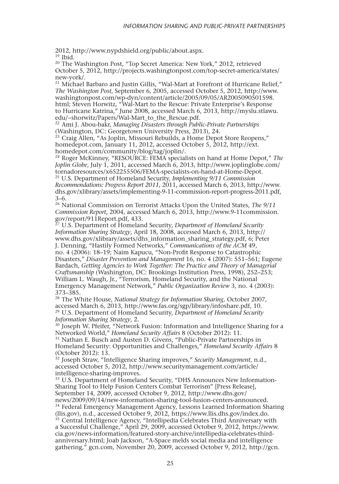2012, http://www.nypdshield.org/public/about.aspx.

 $19$  Ibid.

20 The Washington Post, "Top Secret America: New York," 2012, retrieved October 5, 2012, http://projects.washingtonpost.com/top-secret-america/states/ new-york/.

<sup>21</sup> Michael Barbaro and Justin Gillis, "Wal-Mart at Forefront of Hurricane Relief," *The Washington Post*, September 6, 2005, accessed October 5, 2012, http://www. washingtonpost.com/wp-dyn/content/article/2005/09/05/AR2005090501598. html; Steven Horwitz, "Wal-Mart to the Rescue: Private Enterprise's Response to Hurricane Katrina," June 2008, accessed March 6, 2013, http://myslu.stlawu. edu/~shorwitz/Papers/Wal-Mart\_to\_the\_Rescue.pdf.

22 Ami J. Abou-bakr, *Managing Disasters through Public-Private Partnerships* (Washington, DC: Georgetown University Press, 2013), 24.

<sup>23</sup> Craig Allen, "As Joplin, Missouri Rebuilds, a Home Depot Store Reopens," homedepot.com, January 11, 2012, accessed October 5, 2012, http://ext. homedepot.com/community/blog/tag/joplin/.

24 Roger McKinney, "RESOURCE: FEMA specialists on hand at Home Depot," *The Joplin Globe*, July 1, 2011, accessed March 6, 2013, http://www.joplinglobe.com/ tornadoresources/x652255506/FEMA-specialists-on-hand-at-Home-Depot.

25 U.S. Department of Homeland Security, *Implementing 9/11 Commission Recommendations: Progress Report 2011*, 2011, accessed March 6, 2013, http://www. dhs.gov/xlibrary/assets/implementing-9-11-commission-report-progress-2011.pdf,  $3-6.$ 

26 National Commission on Terrorist Attacks Upon the United States, *The 9/11 Commission Report*, 2004, accessed March 6, 2013, http://www.9-11commission. gov/report/911Report.pdf, 433.

27 U.S. Department of Homeland Security, *Department of Homeland Security Information Sharing Strategy*, April 18, 2008, accessed March 6, 2013, http:// www.dhs.gov/xlibrary/assets/dhs\_information\_sharing\_strategy.pdf, 6; Peter J. Denning, "Hastily Formed Networks," *Communications of the ACM* 49, no. 4 (2006): 18–19; Naim Kapucu, "Non-Profi t Response to Catastrophic Disasters," *Disaster Prevention and Management* 16, no. 4 (2007): 551–561; Eugene Bardach, *Getting Agencies to Work Together: The Practice and Theory of Managerial Craftsmanship* (Washington, DC: Brookings Institution Press, 1998), 252–253; William L. Waugh, Jr., "Terrorism, Homeland Security, and the National Emergency Management Network," *Public Organization Review* 3, no. 4 (2003): 373–385.

28 The White House, *National Strategy for Information Sharing,* October 2007, accessed March 6, 2013, http://www.fas.org/sgp/library/infoshare.pdf, 10. 29 U.S. Department of Homeland Security, *Department of Homeland Security Information Sharing Strategy*, 2.

<sup>30</sup> Joseph W. Pfeifer, "Network Fusion: Information and Intelligence Sharing for a Networked World," *Homeland Security Affairs* 8 (October 2012): 11.

<sup>31</sup> Nathan E. Busch and Austen D. Givens, "Public-Private Partnerships in Homeland Security: Opportunities and Challenges," *Homeland Security Affairs* 8 (October 2012): 13.

32 Joseph Straw, "Intelligence Sharing improves," *Security Management*, n.d., accessed October 5, 2012, http://www.securitymanagement.com/article/ intelligence-sharing-improves.

<sup>33</sup> U.S. Department of Homeland Security, "DHS Announces New Information-Sharing Tool to Help Fusion Centers Combat Terrorism" [Press Release], September 14, 2009, accessed October 9, 2012, http://www.dhs.gov/ news/2009/09/14/new-information-sharing-tool-fusion-centers-announced. <sup>34</sup> Federal Emergency Management Agency, Lessons Learned Information Sharing (llis.gov), n.d., accessed October 9, 2012, https://www.llis.dhs.gov/index.do. <sup>35</sup> Central Intelligence Agency, "Intellipedia Celebrates Third Anniversary with a Successful Challenge," April 29, 2009, accessed October 9, 2012, https://www. cia.gov/news-information/featured-story-archive/intellipedia-celebrates-thirdanniversary.html; Joab Jackson, "A-Space melds social media and intelligence

gathering," gcn.com, November 20, 2009, accessed October 9, 2012, http://gcn.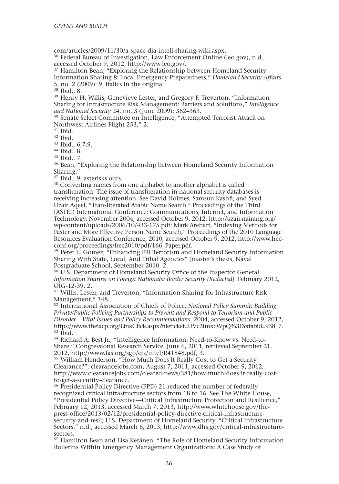com/articles/2009/11/30/a-space-dia-intell-sharing-wiki.aspx.

36 Federal Bureau of Investigation, Law Enforcement Online (leo.gov), n.d., accessed October 9, 2012, http://www.leo.gov/.

 $37$  Hamilton Bean, "Exploring the Relationship between Homeland Security Information Sharing & Local Emergency Preparedness," *Homeland Security Affairs*

5, no. 2 (2009): 9, italics in the original.

38 Ibid., 8.

<sup>39</sup> Henry H. Willis, Genevieve Lester, and Gregory F. Treverton, "Information Sharing for Infrastructure Risk Management: Barriers and Solutions," *Intelligence and National Security* 24, no. 3 (June 2009): 362–363.

40 Senate Select Committee on Intelligence, "Attempted Terrorist Attack on Northwest Airlines Flight 253," 2.

 $41$  Ibid.

 $42$  Ibid.

43 Ibid., 6,7,9.

44 Ibid., 8.

45 Ibid., 7.

<sup>46</sup> Bean, "Exploring the Relationship between Homeland Security Information Sharing."

47 Ibid., 9, asterisks ours.

48 Converting names from one alphabet to another alphabet is called transliteration. The issue of transliteration in national security databases is receiving increasing attention. See David Holmes, Samsun Kashfi, and Syed Uzair Aqeel, "Transliterated Arabic Name Search," Proceedings of the Third IASTED International Conference: Communications, Internet, and Information Technology, November 2004, accessed October 9, 2012, http://uzair.nairang.org/ wp-content/uploads/2006/10/433-175.pdf; Mark Arehart, "Indexing Methods for Faster and More Effective Person Name Search," Proceedings of the 2010 Language Resources Evaluation Conference, 2010, accessed October 9, 2012, http://www.lrecconf.org/proceedings/lrec2010/pdf/166\_Paper.pdf.

<sup>49</sup> Peter L. Gomez, "Enhancing FBI Terrorism and Homeland Security Information Sharing With State, Local, And Tribal Agencies" (master's thesis, Naval Postgraduate School, September 2010, 2.

<sup>50</sup> U.S. Department of Homeland Security Office of the Inspector General, *Information Sharing on Foreign Nationals: Border Security (Redacted)*, February 2012, OIG-12-39, 2.

51 Willis, Lester, and Treverton, "Information Sharing for Infrastructure Risk Management," 348.

52 International Association of Chiefs of Police, *National Policy Summit: Building Private/Public Policing Partnerships to Prevent and Respond to Terrorism and Public Disorder—Vital Issues and Policy Recommendations*, 2004, accessed October 9, 2012, https://www.theiacp.org/LinkClick.aspx?fileticket=UVc2ImxcWpQ%3D&tabid=938, 7. 53 Ibid.

54 Richard A. Best Jr., "Intelligence Information: Need-to-Know vs. Need-to-Share," Congressional Research Service, June 6, 2011, retrieved September 21, 2012, http://www.fas.org/sgp/crs/intel/R41848.pdf, 3.

55 William Henderson, "How Much Does It Really Cost to Get a Security Clearance?", clearancejobs.com, August 7, 2011, accessed October 9, 2012, http://www.clearancejobs.com/cleared-news/381/how-much-does-it-really-costto-get-a-security-clearance.

<sup>56</sup> Presidential Policy Directive (PPD) 21 reduced the number of federally recognized critical infrastructure sectors from 18 to 16. See The White House, "Presidential Policy Directive—Critical Infrastructure Protection and Resilience," February 12, 2013, accessed March 7, 2013, http://www.whitehouse.gov/thepress-office/2013/02/12/presidential-policy-directive-critical-infrastructuresecurity-and-resil; U.S. Department of Homeland Security, "Critical Infrastructure Sectors," n.d., accessed March 6, 2013, http://www.dhs.gov/critical-infrastructuresectors.

<sup>57</sup> Hamilton Bean and Lisa Keränen, "The Role of Homeland Security Information Bulletins Within Emergency Management Organizations: A Case Study of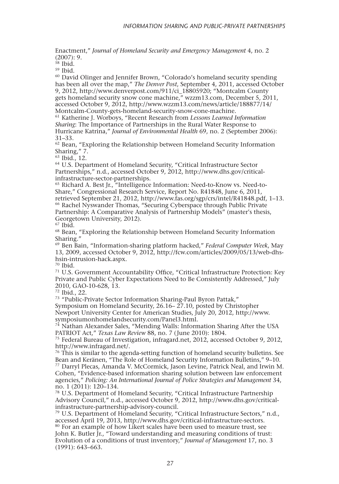Enactment," *Journal of Homeland Security and Emergency Management* 4, no. 2 (2007): 9.

 $58$  Ibid.

 $59$  Ibid.

<sup>60</sup> David Olinger and Jennifer Brown, "Colorado's homeland security spending has been all over the map," *The Denver Post*, September 4, 2011, accessed October 9, 2012, http://www.denverpost.com/911/ci\_18805920; "Montcalm County gets homeland security snow cone machine," wzzm13.com, December 5, 2011, accessed October 9, 2012, http://www.wzzm13.com/news/article/188877/14/ Montcalm-County-gets-homeland-security-snow-cone-machine.

61 Katherine J. Worboys, "Recent Research from *Lessons Learned Information Sharing*: The Importance of Partnerships in the Rural Water Response to Hurricane Katrina," *Journal of Environmental Health* 69, no. 2 (September 2006): 31–33.

<sup>62</sup> Bean, "Exploring the Relationship between Homeland Security Information Sharing," 7.

63 Ibid., 12.

64 U.S. Department of Homeland Security, "Critical Infrastructure Sector Partnerships," n.d., accessed October 9, 2012, http://www.dhs.gov/criticalinfrastructure-sector-partnerships.

65 Richard A. Best Jr., "Intelligence Information: Need-to-Know vs. Need-to-Share," Congressional Research Service, Report No. R41848, June 6, 2011, retrieved September 21, 2012, http://www.fas.org/sgp/crs/intel/R41848.pdf, 1–13. 66 Rachel Nyswander Thomas, "Securing Cyberspace through Public Private Partnership: A Comparative Analysis of Partnership Models" (master's thesis, Georgetown University, 2012).

67 Ibid.

68 Bean, "Exploring the Relationship between Homeland Security Information Sharing."

69 Ben Bain, "Information-sharing platform hacked," *Federal Computer Week*, May 13, 2009, accessed October 9, 2012, http://fcw.com/articles/2009/05/13/web-dhshsin-intrusion-hack.aspx.

70 Ibid.

 $71$  U.S. Government Accountability Office, "Critical Infrastructure Protection: Key Private and Public Cyber Expectations Need to Be Consistently Addressed," July 2010, GAO-10-628, 13.

72 Ibid., 22.

73 "Public-Private Sector Information Sharing-Paul Byron Pattak," Symposium on Homeland Security, 26.16– 27.10, posted by Christopher Newport University Center for American Studies, July 20, 2012, http://www. symposiumonhomelandsecurity.com/Panel3.html.

<sup>74</sup> Nathan Alexander Sales, "Mending Walls: Information Sharing After the USA PATRIOT Act," *Texas Law Review* 88, no. 7 (June 2010): 1804.

75 Federal Bureau of Investigation, infragard.net, 2012, accessed October 9, 2012, http://www.infragard.net/.

 $76$  This is similar to the agenda-setting function of homeland security bulletins. See Bean and Keränen, "The Role of Homeland Security Information Bulletins," 9–10. 77 Darryl Plecas, Amanda V. McCormick, Jason Levine, Patrick Neal, and Irwin M. Cohen, "Evidence-based information sharing solution between law enforcement agencies," *Policing: An International Journal of Police Strategies and Management* 34, no. 1 (2011): 120–134.

78 U.S. Department of Homeland Security, "Critical Infrastructure Partnership Advisory Council," n.d., accessed October 9, 2012, http://www.dhs.gov/criticalinfrastructure-partnership-advisory-council.

79 U.S. Department of Homeland Security, "Critical Infrastructure Sectors," n.d., accessed April 19, 2013, http://www.dhs.gov/critical-infrastructure-sectors. 80 For an example of how Likert scales have been used to measure trust, see John K. Butler Jr., "Toward understanding and measuring conditions of trust: Evolution of a conditions of trust inventory," *Journal of Management* 17, no. 3 (1991): 643–663.